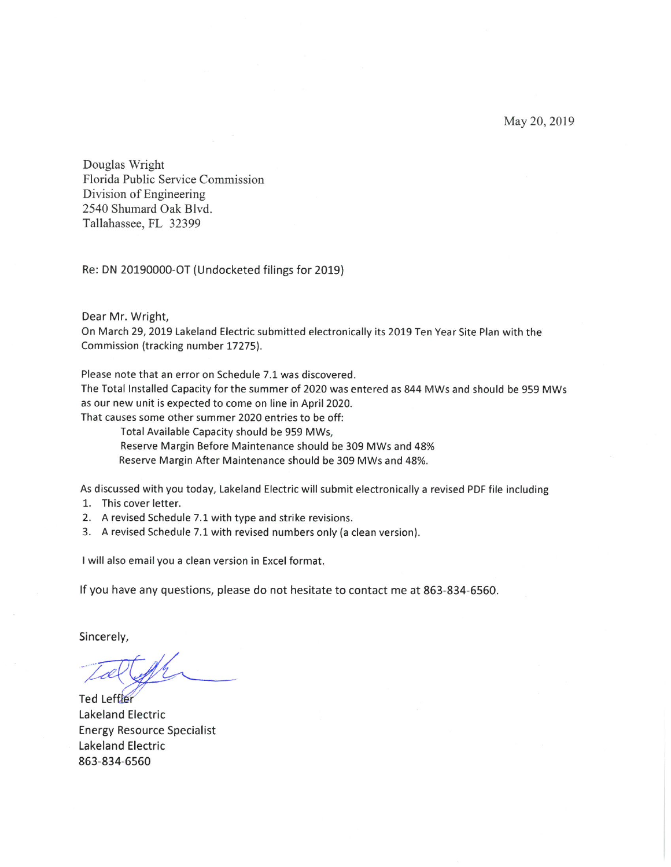May 20, 2019

Douglas Wright Florida Public Service Commission Division of Engineering 2540 Shumard Oak Blvd. Tallahassee, FL 32399

Re: DN 20190000-OT (Undocketed filings for 2019)

Dear Mr. Wright,

On March 29, 2019 Lakeland Electric submitted electronically its 2019 Ten Year Site Plan with the Commission (tracking number 17275).

Please note that an error on Schedule 7.1 was discovered.

The Total Installed Capacity for the summer of 2020 was entered as 844 MWs and should be 959 MWs as our new unit is expected to come on line in April 2020.

That causes some other summer 2020 entries to be off:

Total Available Capacity should be 959 MWs,

Reserve Margin Before Maintenance should be 309 MWs and 48%

Reserve Margin After Maintenance should be 309 MWs and 48%.

As discussed with you today, Lakeland Electric will submit electronically a revised PDF file including

- 1. This cover letter.
- 2. A revised Schedule 7.1 with type and strike revisions.
- 3. A revised Schedule 7.1 with revised numbers only (a clean version).

I will also email you a clean version in Excel format.

If you have any questions, please do not hesitate to contact me at 863-834-6560.

Sincerely,

Ted Leftler **Lakeland Electric Energy Resource Specialist** Lakeland Electric 863-834-6560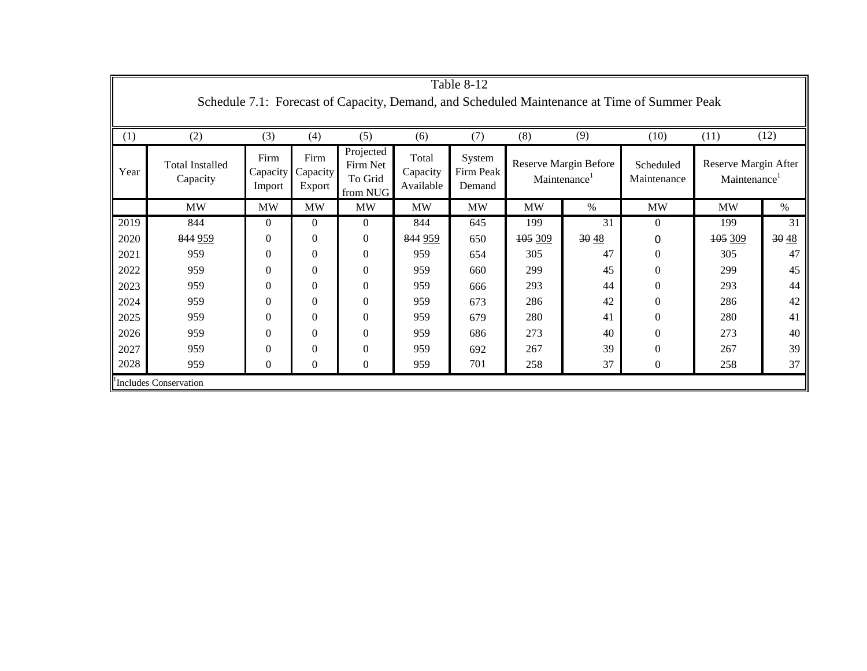| Table 8-12                                                                                   |                                    |                            |                            |                                              |                                |                               |                                                          |      |                          |                                                  |       |
|----------------------------------------------------------------------------------------------|------------------------------------|----------------------------|----------------------------|----------------------------------------------|--------------------------------|-------------------------------|----------------------------------------------------------|------|--------------------------|--------------------------------------------------|-------|
| Schedule 7.1: Forecast of Capacity, Demand, and Scheduled Maintenance at Time of Summer Peak |                                    |                            |                            |                                              |                                |                               |                                                          |      |                          |                                                  |       |
|                                                                                              |                                    |                            |                            |                                              |                                |                               |                                                          |      |                          |                                                  |       |
| (1)                                                                                          | (2)                                | (3)                        | (4)                        | (5)                                          | (6)                            | (7)                           | (8)                                                      | (9)  | (10)                     | (11)                                             | (12)  |
| Year                                                                                         | <b>Total Installed</b><br>Capacity | Firm<br>Capacity<br>Import | Firm<br>Capacity<br>Export | Projected<br>Firm Net<br>To Grid<br>from NUG | Total<br>Capacity<br>Available | System<br>Firm Peak<br>Demand | <b>Reserve Margin Before</b><br>Maintenance <sup>1</sup> |      | Scheduled<br>Maintenance | Reserve Margin After<br>Maintenance <sup>1</sup> |       |
|                                                                                              | <b>MW</b>                          | <b>MW</b>                  | MW                         | <b>MW</b>                                    | <b>MW</b>                      | <b>MW</b>                     | <b>MW</b>                                                | $\%$ | <b>MW</b>                | <b>MW</b>                                        | $\%$  |
| 2019                                                                                         | 844                                | $\Omega$                   | $\Omega$                   | $\boldsymbol{0}$                             | 844                            | 645                           | 199                                                      | 31   | $\mathbf{0}$             | 199                                              | 31    |
| 2020                                                                                         | 844 959                            | $\Omega$                   | $\Omega$                   | $\boldsymbol{0}$                             | 844 959                        | 650                           | 105 309                                                  | 3048 | 0                        | 105 309                                          | 30 48 |
| 2021                                                                                         | 959                                | $\Omega$                   | $\Omega$                   | $\boldsymbol{0}$                             | 959                            | 654                           | 305                                                      | 47   | $\mathbf{0}$             | 305                                              | 47    |
| 2022                                                                                         | 959                                | 0                          | 0                          | $\overline{0}$                               | 959                            | 660                           | 299                                                      | 45   | $\mathbf{0}$             | 299                                              | 45    |
| 2023                                                                                         | 959                                | 0                          | $\Omega$                   | $\boldsymbol{0}$                             | 959                            | 666                           | 293                                                      | 44   | $\Omega$                 | 293                                              | 44    |
| 2024                                                                                         | 959                                | 0                          | $\Omega$                   | $\mathbf{0}$                                 | 959                            | 673                           | 286                                                      | 42   | $\mathbf{0}$             | 286                                              | 42    |
| 2025                                                                                         | 959                                | 0                          | $\Omega$                   | $\mathbf{0}$                                 | 959                            | 679                           | 280                                                      | 41   | $\mathbf{0}$             | 280                                              | 41    |
| 2026                                                                                         | 959                                | 0                          | $\Omega$                   | $\boldsymbol{0}$                             | 959                            | 686                           | 273                                                      | 40   | $\mathbf{0}$             | 273                                              | 40    |
| 2027                                                                                         | 959                                | 0                          | $\Omega$                   | $\boldsymbol{0}$                             | 959                            | 692                           | 267                                                      | 39   | $\mathbf{0}$             | 267                                              | 39    |
| 2028                                                                                         | 959                                | $\theta$                   | 0                          | $\overline{0}$                               | 959                            | 701                           | 258                                                      | 37   | $\mathbf{0}$             | 258                                              | 37    |
| <sup>1</sup> Includes Conservation                                                           |                                    |                            |                            |                                              |                                |                               |                                                          |      |                          |                                                  |       |